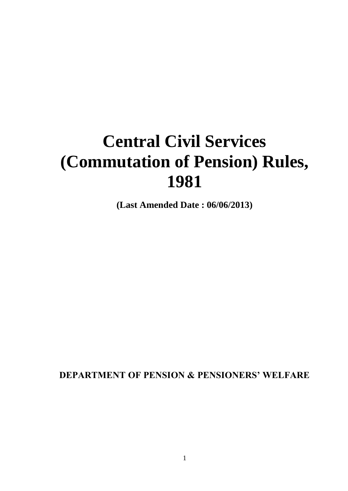# **Central Civil Services (Commutation of Pension) Rules, 1981**

**(Last Amended Date : 06/06/2013)**

**DEPARTMENT OF PENSION & PENSIONERS' WELFARE**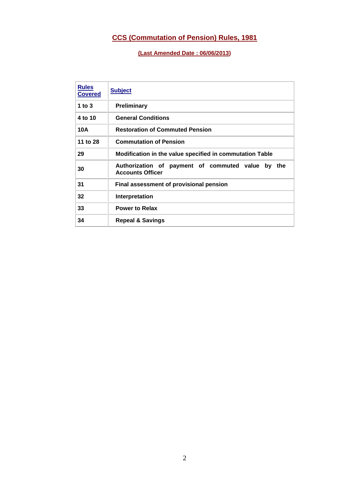# **CCS (Commutation of Pension) Rules, 1981**

**(Last Amended Date : 06/06/2013)**

| <b>Rules</b><br><b>Covered</b> | <b>Subject</b>                                                                  |
|--------------------------------|---------------------------------------------------------------------------------|
| 1 to $3$                       | <b>Preliminary</b>                                                              |
| 4 to 10                        | <b>General Conditions</b>                                                       |
| 10A                            | <b>Restoration of Commuted Pension</b>                                          |
| 11 to 28                       | <b>Commutation of Pension</b>                                                   |
| 29                             | Modification in the value specified in commutation Table                        |
| 30                             | Authorization of payment of commuted value by<br>the<br><b>Accounts Officer</b> |
| 31                             | Final assessment of provisional pension                                         |
| 32                             | Interpretation                                                                  |
| 33                             | <b>Power to Relax</b>                                                           |
| 34                             | <b>Repeal &amp; Savings</b>                                                     |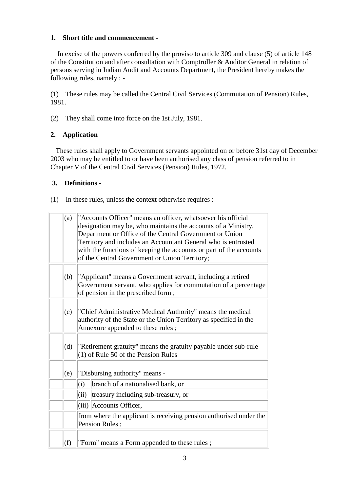# **1. Short title and commencement -**

 In excise of the powers conferred by the proviso to article 309 and clause (5) of article 148 of the Constitution and after consultation with Comptroller & Auditor General in relation of persons serving in Indian Audit and Accounts Department, the President hereby makes the following rules, namely : -

(1) These rules may be called the Central Civil Services (Commutation of Pension) Rules, 1981.

(2) They shall come into force on the 1st July, 1981.

# **2. Application**

These rules shall apply to Government servants appointed on or before 31st day of December 2003 who may be entitled to or have been authorised any class of pension referred to in Chapter V of the Central Civil Services (Pension) Rules, 1972.

# **3. Definitions -**

(1) In these rules, unless the context otherwise requires : -

| (a) | "Accounts Officer" means an officer, whatsoever his official<br>designation may be, who maintains the accounts of a Ministry,<br>Department or Office of the Central Government or Union<br>Territory and includes an Accountant General who is entrusted<br>with the functions of keeping the accounts or part of the accounts<br>of the Central Government or Union Territory; |
|-----|----------------------------------------------------------------------------------------------------------------------------------------------------------------------------------------------------------------------------------------------------------------------------------------------------------------------------------------------------------------------------------|
| (b) | "Applicant" means a Government servant, including a retired<br>Government servant, who applies for commutation of a percentage<br>of pension in the prescribed form;                                                                                                                                                                                                             |
| (c) | "Chief Administrative Medical Authority" means the medical<br>authority of the State or the Union Territory as specified in the<br>Annexure appended to these rules;                                                                                                                                                                                                             |
| (d) | "Retirement gratuity" means the gratuity payable under sub-rule<br>$(1)$ of Rule 50 of the Pension Rules                                                                                                                                                                                                                                                                         |
| (e) | "Disbursing authority" means -                                                                                                                                                                                                                                                                                                                                                   |
|     | branch of a nationalised bank, or<br>(i)                                                                                                                                                                                                                                                                                                                                         |
|     | (ii)<br>treasury including sub-treasury, or                                                                                                                                                                                                                                                                                                                                      |
|     | (iii) Accounts Officer,                                                                                                                                                                                                                                                                                                                                                          |
|     | from where the applicant is receiving pension authorised under the<br>Pension Rules;                                                                                                                                                                                                                                                                                             |
| (f) | "Form" means a Form appended to these rules;                                                                                                                                                                                                                                                                                                                                     |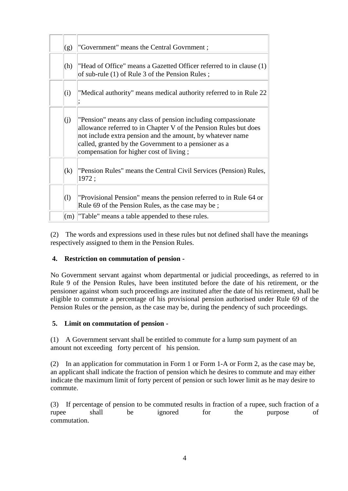| (g)                        | "Government" means the Central Govrnment;                                                                                                                                                                                                                                                          |
|----------------------------|----------------------------------------------------------------------------------------------------------------------------------------------------------------------------------------------------------------------------------------------------------------------------------------------------|
| (h)                        | "Head of Office" means a Gazetted Officer referred to in clause (1)<br>of sub-rule (1) of Rule 3 of the Pension Rules;                                                                                                                                                                             |
| (i)                        | "Medical authority" means medical authority referred to in Rule 22                                                                                                                                                                                                                                 |
| (j)                        | "Pension" means any class of pension including compassionate<br>allowance referred to in Chapter V of the Pension Rules but does<br>not include extra pension and the amount, by whatever name<br>called, granted by the Government to a pensioner as a<br>compensation for higher cost of living; |
| (k)                        | "Pension Rules" means the Central Civil Services (Pension) Rules,<br>1972;                                                                                                                                                                                                                         |
| $\left( \mathrm{l}\right)$ | "Provisional Pension" means the pension referred to in Rule 64 or<br>Rule 69 of the Pension Rules, as the case may be;                                                                                                                                                                             |
| (m)                        | "Table" means a table appended to these rules.                                                                                                                                                                                                                                                     |

(2) The words and expressions used in these rules but not defined shall have the meanings respectively assigned to them in the Pension Rules.

# **4. Restriction on commutation of pension -**

No Government servant against whom departmental or judicial proceedings, as referred to in Rule 9 of the Pension Rules, have been instituted before the date of his retirement, or the pensioner against whom such proceedings are instituted after the date of his retirement, shall be eligible to commute a percentage of his provisional pension authorised under Rule 69 of the Pension Rules or the pension, as the case may be, during the pendency of such proceedings.

# **5. Limit on commutation of pension -**

(1) A Government servant shall be entitled to commute for a lump sum payment of an amount not exceeding forty percent of his pension.

(2) In an application for commutation in Form 1 or Form 1-A or Form 2, as the case may be, an applicant shall indicate the fraction of pension which he desires to commute and may either indicate the maximum limit of forty percent of pension or such lower limit as he may desire to commute.

(3) If percentage of pension to be commuted results in fraction of a rupee, such fraction of a rupee shall be ignored for the purpose of commutation.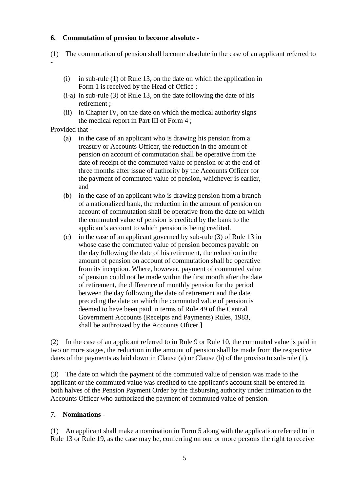## **6. Commutation of pension to become absolute -**

- (1) The commutation of pension shall become absolute in the case of an applicant referred to -
	- (i) in sub-rule (1) of Rule 13, on the date on which the application in Form 1 is received by the Head of Office ;
	- (i-a) in sub-rule (3) of Rule 13, on the date following the date of his retirement ;
	- (ii) in Chapter IV, on the date on which the medical authority signs the medical report in Part III of Form 4 ;

Provided that -

- (a) in the case of an applicant who is drawing his pension from a treasury or Accounts Officer, the reduction in the amount of pension on account of commutation shall be operative from the date of receipt of the commuted value of pension or at the end of three months after issue of authority by the Accounts Officer for the payment of commuted value of pension, whichever is earlier, and
- (b) in the case of an applicant who is drawing pension from a branch of a nationalized bank, the reduction in the amount of pension on account of commutation shall be operative from the date on which the commuted value of pension is credited by the bank to the applicant's account to which pension is being credited.
- (c) in the case of an applicant governed by sub-rule (3) of Rule 13 in whose case the commuted value of pension becomes payable on the day following the date of his retirement, the reduction in the amount of pension on account of commutation shall be operative from its inception. Where, however, payment of commuted value of pension could not be made within the first month after the date of retirement, the difference of monthly pension for the period between the day following the date of retirement and the date preceding the date on which the commuted value of pension is deemed to have been paid in terms of Rule 49 of the Central Government Accounts (Receipts and Payments) Rules, 1983, shall be authroized by the Accounts Oficer.]

(2) In the case of an applicant referred to in Rule 9 or Rule 10, the commuted value is paid in two or more stages, the reduction in the amount of pension shall be made from the respective dates of the payments as laid down in Clause (a) or Clause (b) of the proviso to sub-rule (1).

(3) The date on which the payment of the commuted value of pension was made to the applicant or the commuted value was credited to the applicant's account shall be entered in both halves of the Pension Payment Order by the disbursing authority under intimation to the Accounts Officer who authorized the payment of commuted value of pension.

#### 7**. Nominations -**

(1) An applicant shall make a nomination in Form 5 along with the application referred to in Rule 13 or Rule 19, as the case may be, conferring on one or more persons the right to receive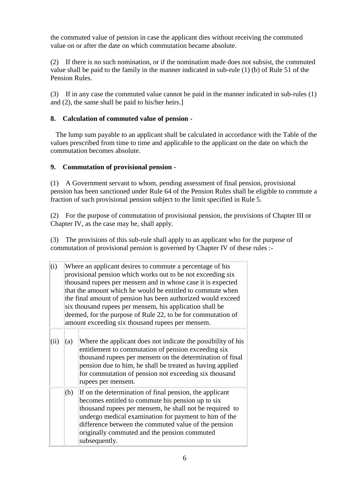the commuted value of pension in case the applicant dies without receiving the commuted value on or after the date on which commutation became absolute.

(2) If there is no such nomination, or if the nomination made does not subsist, the commuted value shall be paid to the family in the manner indicated in sub-rule (1) (b) of Rule 51 of the Pension Rules.

(3) If in any case the commuted value cannot be paid in the manner indicated in sub-rules (1) and (2), the same shall be paid to his/her heirs.]

# **8. Calculation of commuted value of pension -**

The lump sum payable to an applicant shall be calculated in accordance with the Table of the values prescribed from time to time and applicable to the applicant on the date on which the commutation becomes absolute.

# **9. Commutation of provisional pension -**

(1) A Government servant to whom, pending assessment of final pension, provisional pension has been sanctioned under Rule 64 of the Pension Rules shall be eligible to commute a fraction of such provisional pension subject to the limit specified in Rule 5.

(2) For the purpose of commutation of provisional pension, the provisions of Chapter III or Chapter IV, as the case may be, shall apply.

(3) The provisions of this sub-rule shall apply to an applicant who for the purpose of commutation of provisional pension is governed by Chapter IV of these rules :-

| (i)<br>provisional pension which works out to be not exceeding six<br>thousand rupees per mensem and in whose case it is expected<br>that the amount which he would be entitled to commute when<br>the final amount of pension has been authorized would exceed<br>six thousand rupees per mensem, his application shall be<br>deemed, for the purpose of Rule 22, to be for commutation of<br>amount exceeding six thousand rupees per mensem. |     | Where an applicant desires to commute a percentage of his                                                                                                                                                                                                                                                                                                 |
|-------------------------------------------------------------------------------------------------------------------------------------------------------------------------------------------------------------------------------------------------------------------------------------------------------------------------------------------------------------------------------------------------------------------------------------------------|-----|-----------------------------------------------------------------------------------------------------------------------------------------------------------------------------------------------------------------------------------------------------------------------------------------------------------------------------------------------------------|
| (ii)                                                                                                                                                                                                                                                                                                                                                                                                                                            | (a) | Where the applicant does not indicate the possibility of his<br>entitlement to commutation of pension exceeding six<br>thousand rupees per mensem on the determination of final<br>pension due to him, he shall be treated as having applied<br>for commutation of pension not exceeding six thousand<br>rupees per mensem.                               |
|                                                                                                                                                                                                                                                                                                                                                                                                                                                 | (b) | If on the determination of final pension, the applicant<br>becomes entitled to commute his pension up to six<br>thousand rupees per mensem, he shall not be required to<br>undergo medical examination for payment to him of the<br>difference between the commuted value of the pension<br>originally commuted and the pension commuted<br>subsequently. |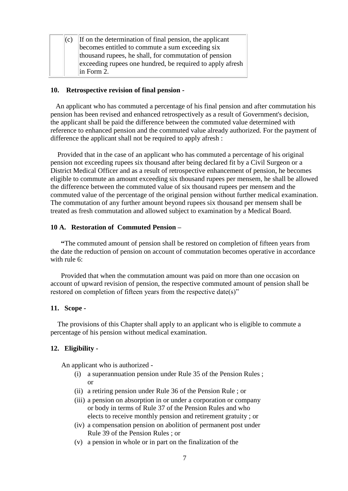| If on the determination of final pension, the applicant   |
|-----------------------------------------------------------|
| becomes entitled to commute a sum exceeding six           |
| thousand rupees, he shall, for commutation of pension     |
| exceeding rupees one hundred, be required to apply afresh |
| $\ln$ Form 2.                                             |
| (c)                                                       |

#### **10. Retrospective revision of final pension -**

An applicant who has commuted a percentage of his final pension and after commutation his pension has been revised and enhanced retrospectively as a result of Government's decision, the applicant shall be paid the difference between the commuted value determined with reference to enhanced pension and the commuted value already authorized. For the payment of difference the applicant shall not be required to apply afresh :

 Provided that in the case of an applicant who has commuted a percentage of his original pension not exceeding rupees six thousand after being declared fit by a Civil Surgeon or a District Medical Officer and as a result of retrospective enhancement of pension, he becomes eligible to commute an amount exceeding six thousand rupees per mensem, he shall be allowed the difference between the commuted value of six thousand rupees per mensem and the commuted value of the percentage of the original pension without further medical examination. The commutation of any further amount beyond rupees six thousand per mensem shall be treated as fresh commutation and allowed subject to examination by a Medical Board.

## **10 A. Restoration of Commuted Pension –**

 **"**The commuted amount of pension shall be restored on completion of fifteen years from the date the reduction of pension on account of commutation becomes operative in accordance with rule 6.

 Provided that when the commutation amount was paid on more than one occasion on account of upward revision of pension, the respective commuted amount of pension shall be restored on completion of fifteen years from the respective date(s)"

#### **11. Scope -**

 The provisions of this Chapter shall apply to an applicant who is eligible to commute a percentage of his pension without medical examination.

#### **12. Eligibility -**

An applicant who is authorized -

- (i) a superannuation pension under Rule 35 of the Pension Rules ; or
- (ii) a retiring pension under Rule 36 of the Pension Rule ; or
- (iii) a pension on absorption in or under a corporation or company or body in terms of Rule 37 of the Pension Rules and who elects to receive monthly pension and retirement gratuity ; or
- (iv) a compensation pension on abolition of permanent post under Rule 39 of the Pension Rules ; or
- (v) a pension in whole or in part on the finalization of the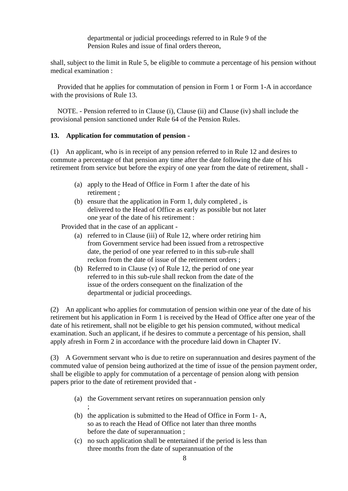departmental or judicial proceedings referred to in Rule 9 of the Pension Rules and issue of final orders thereon,

shall, subject to the limit in Rule 5, be eligible to commute a percentage of his pension without medical examination :

 Provided that he applies for commutation of pension in Form 1 or Form 1-A in accordance with the provisions of Rule 13.

 NOTE. - Pension referred to in Clause (i), Clause (ii) and Clause (iv) shall include the provisional pension sanctioned under Rule 64 of the Pension Rules.

#### **13. Application for commutation of pension -**

(1) An applicant, who is in receipt of any pension referred to in Rule 12 and desires to commute a percentage of that pension any time after the date following the date of his retirement from service but before the expiry of one year from the date of retirement, shall -

- (a) apply to the Head of Office in Form 1 after the date of his retirement ;
- (b) ensure that the application in Form 1, duly completed , is delivered to the Head of Office as early as possible but not later one year of the date of his retirement :

Provided that in the case of an applicant -

- (a) referred to in Clause (iii) of Rule 12, where order retiring him from Government service had been issued from a retrospective date, the period of one year referred to in this sub-rule shall reckon from the date of issue of the retirement orders ;
- (b) Referred to in Clause (v) of Rule 12, the period of one year referred to in this sub-rule shall reckon from the date of the issue of the orders consequent on the finalization of the departmental or judicial proceedings.

(2) An applicant who applies for commutation of pension within one year of the date of his retirement but his application in Form 1 is received by the Head of Office after one year of the date of his retirement, shall not be eligible to get his pension commuted, without medical examination. Such an applicant, if he desires to commute a percentage of his pension, shall apply afresh in Form 2 in accordance with the procedure laid down in Chapter IV.

(3) A Government servant who is due to retire on superannuation and desires payment of the commuted value of pension being authorized at the time of issue of the pension payment order, shall be eligible to apply for commutation of a percentage of pension along with pension papers prior to the date of retirement provided that -

- (a) the Government servant retires on superannuation pension only ;
- (b) the application is submitted to the Head of Office in Form 1- A, so as to reach the Head of Office not later than three months before the date of superannuation ;
- (c) no such application shall be entertained if the period is less than three months from the date of superannuation of the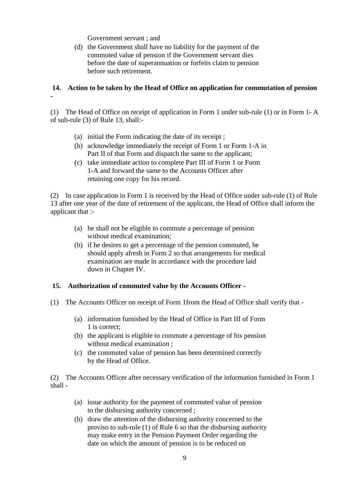Government servant ; and

(d) the Government shall have no liability for the payment of the commuted value of pension if the Government servant dies before the date of superannuation or forfeits claim to pension before such retirement.

# **14. Action to be taken by the Head of Office on application for commutation of pension -**

(1) The Head of Office on receipt of application in Form 1 under sub-rule (1) or in Form 1- A of sub-rule (3) of Rule 13, shall:-

- (a) initial the Form indicating the date of its receipt ;
- (b) acknowledge immediately the receipt of Form 1 or Form 1-A in Part II of that Form and dispatch the same to the applicant;
- (c) take immediate action to complete Part III of Form 1 or Form 1-A and forward the same to the Accounts Officer after retaining one copy for his record.

(2) In case application in Form 1 is received by the Head of Office under sub-rule (1) of Rule 13 after one year of the date of retirement of the applicant, the Head of Office shall inform the applicant that :-

- (a) he shall not be eligible to commute a percentage of pension without medical examination;
- (b) if he desires to get a percentage of the pension commuted, he should apply afresh in Form 2 so that arrangements for medical examination are made in accordance with the procedure laid down in Chapter IV.

# **15. Authorization of commuted value by the Accounts Officer -**

- (1) The Accounts Officer on receipt of Form 1from the Head of Office shall verify that
	- (a) information furnished by the Head of Office in Part III of Form 1 is correct;
	- (b) the applicant is eligible to commute a percentage of his pension without medical examination ;
	- (c) the commuted value of pension has been determined correctly by the Head of Office.

(2) The Accounts Officer after necessary verification of the information furnished in Form 1 shall -

- (a) issue authority for the payment of commuted value of pension to the disbursing authority concerned ;
- (b) draw the attention of the disbursing authority concerned to the proviso to sub-rule (1) of Rule 6 so that the disbursing authority may make entry in the Pension Payment Order regarding the date on which the amount of pension is to be reduced on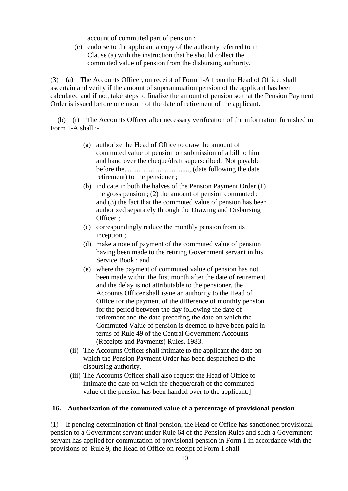account of commuted part of pension ;

(c) endorse to the applicant a copy of the authority referred to in Clause (a) with the instruction that he should collect the commuted value of pension from the disbursing authority.

(3) (a) The Accounts Officer, on receipt of Form 1-A from the Head of Office, shall ascertain and verify if the amount of superannuation pension of the applicant has been calculated and if not, take steps to finalize the amount of pension so that the Pension Payment Order is issued before one month of the date of retirement of the applicant.

 (b) (i) The Accounts Officer after necessary verification of the information furnished in Form 1-A shall :-

- (a) authorize the Head of Office to draw the amount of commuted value of pension on submission of a bill to him and hand over the cheque/draft superscribed. Not payable before the.....................................,.(date following the date retirement) to the pensioner ;
- (b) indicate in both the halves of the Pension Payment Order (1) the gross pension ; (2) the amount of pension commuted ; and (3) the fact that the commuted value of pension has been authorized separately through the Drawing and Disbursing Officer ;
- (c) correspondingly reduce the monthly pension from its inception ;
- (d) make a note of payment of the commuted value of pension having been made to the retiring Government servant in his Service Book ; and
- (e) where the payment of commuted value of pension has not been made within the first month after the date of retirement and the delay is not attributable to the pensioner, the Accounts Officer shall issue an authority to the Head of Office for the payment of the difference of monthly pension for the period between the day following the date of retirement and the date preceding the date on which the Commuted Value of pension is deemed to have been paid in terms of Rule 49 of the Central Government Accounts (Receipts and Payments) Rules, 1983.
- (ii) The Accounts Officer shall intimate to the applicant the date on which the Pension Payment Order has been despatched to the disbursing authority.
- (iii) The Accounts Officer shall also request the Head of Office to intimate the date on which the cheque/draft of the commuted value of the pension has been handed over to the applicant.]

#### **16. Authorization of the commuted value of a percentage of provisional pension -**

(1) If pending determination of final pension, the Head of Office has sanctioned provisional pension to a Government servant under Rule 64 of the Pension Rules and such a Government servant has applied for commutation of provisional pension in Form 1 in accordance with the provisions of Rule 9, the Head of Office on receipt of Form 1 shall -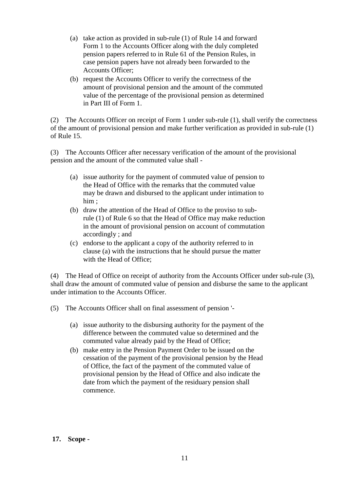- (a) take action as provided in sub-rule (1) of Rule 14 and forward Form 1 to the Accounts Officer along with the duly completed pension papers referred to in Rule 61 of the Pension Rules, in case pension papers have not already been forwarded to the Accounts Officer;
- (b) request the Accounts Officer to verify the correctness of the amount of provisional pension and the amount of the commuted value of the percentage of the provisional pension as determined in Part III of Form 1.

(2) The Accounts Officer on receipt of Form 1 under sub-rule (1), shall verify the correctness of the amount of provisional pension and make further verification as provided in sub-rule (1) of Rule 15.

(3) The Accounts Officer after necessary verification of the amount of the provisional pension and the amount of the commuted value shall -

- (a) issue authority for the payment of commuted value of pension to the Head of Office with the remarks that the commuted value may be drawn and disbursed to the applicant under intimation to him ;
- (b) draw the attention of the Head of Office to the proviso to subrule (1) of Rule 6 so that the Head of Office may make reduction in the amount of provisional pension on account of commutation accordingly ; and
- (c) endorse to the applicant a copy of the authority referred to in clause (a) with the instructions that he should pursue the matter with the Head of Office;

(4) The Head of Office on receipt of authority from the Accounts Officer under sub-rule (3), shall draw the amount of commuted value of pension and disburse the same to the applicant under intimation to the Accounts Officer.

(5) The Accounts Officer shall on final assessment of pension '-

- (a) issue authority to the disbursing authority for the payment of the difference between the commuted value so determined and the commuted value already paid by the Head of Office;
- (b) make entry in the Pension Payment Order to be issued on the cessation of the payment of the provisional pension by the Head of Office, the fact of the payment of the commuted value of provisional pension by the Head of Office and also indicate the date from which the payment of the residuary pension shall commence.

#### **17. Scope -**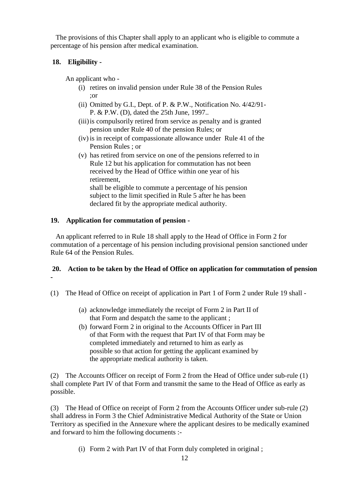The provisions of this Chapter shall apply to an applicant who is eligible to commute a percentage of his pension after medical examination.

# **18. Eligibility -**

An applicant who -

- (i) retires on invalid pension under Rule 38 of the Pension Rules ;or
- (ii) Omitted by G.I., Dept. of P. & P.W., Notification No. 4/42/91- P. & P.W. (D), dated the 25th June, 1997..
- (iii)is compulsorily retired from service as penalty and is granted pension under Rule 40 of the pension Rules; or
- (iv) is in receipt of compassionate allowance under Rule 41 of the Pension Rules ; or
- (v) has retired from service on one of the pensions referred to in Rule 12 but his application for commutation has not been received by the Head of Office within one year of his retirement, shall be eligible to commute a percentage of his pension subject to the limit specified in Rule 5 after he has been declared fit by the appropriate medical authority.

# **19. Application for commutation of pension -**

 An applicant referred to in Rule 18 shall apply to the Head of Office in Form 2 for commutation of a percentage of his pension including provisional pension sanctioned under Rule 64 of the Pension Rules.

## **20. Action to be taken by the Head of Office on application for commutation of pension -**

- (1) The Head of Office on receipt of application in Part 1 of Form 2 under Rule 19 shall
	- (a) acknowledge immediately the receipt of Form 2 in Part II of that Form and despatch the same to the applicant ;
	- (b) forward Form 2 in original to the Accounts Officer in Part III of that Form with the request that Part IV of that Form may be completed immediately and returned to him as early as possible so that action for getting the applicant examined by the appropriate medical authority is taken.

(2) The Accounts Officer on receipt of Form 2 from the Head of Office under sub-rule (1) shall complete Part IV of that Form and transmit the same to the Head of Office as early as possible.

(3) The Head of Office on receipt of Form 2 from the Accounts Officer under sub-rule (2) shall address in Form 3 the Chief Administrative Medical Authority of the State or Union Territory as specified in the Annexure where the applicant desires to be medically examined and forward to him the following documents :-

(i) Form 2 with Part IV of that Form duly completed in original ;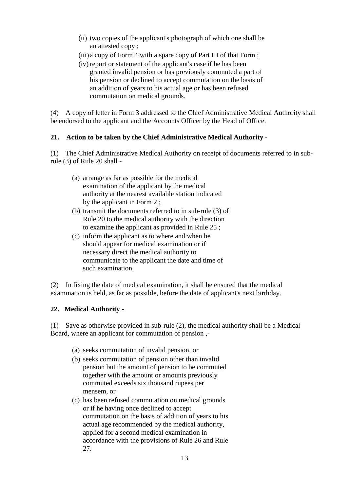- (ii) two copies of the applicant's photograph of which one shall be an attested copy ;
- (iii) a copy of Form 4 with a spare copy of Part III of that Form ;
- (iv) report or statement of the applicant's case if he has been granted invalid pension or has previously commuted a part of his pension or declined to accept commutation on the basis of an addition of years to his actual age or has been refused commutation on medical grounds.

(4) A copy of letter in Form 3 addressed to the Chief Administrative Medical Authority shall be endorsed to the applicant and the Accounts Officer by the Head of Office.

# **21. Action to be taken by the Chief Administrative Medical Authority -**

(1) The Chief Administrative Medical Authority on receipt of documents referred to in subrule (3) of Rule 20 shall -

- (a) arrange as far as possible for the medical examination of the applicant by the medical authority at the nearest available station indicated by the applicant in Form 2 ;
- (b) transmit the documents referred to in sub-rule (3) of Rule 20 to the medical authority with the direction to examine the applicant as provided in Rule 25 ;
- (c) inform the applicant as to where and when he should appear for medical examination or if necessary direct the medical authority to communicate to the applicant the date and time of such examination.

(2) In fixing the date of medical examination, it shall be ensured that the medical examination is held, as far as possible, before the date of applicant's next birthday.

# **22. Medical Authority -**

(1) Save as otherwise provided in sub-rule (2), the medical authority shall be a Medical Board, where an applicant for commutation of pension ,-

- (a) seeks commutation of invalid pension, or
- (b) seeks commutation of pension other than invalid pension but the amount of pension to be commuted together with the amount or amounts previously commuted exceeds six thousand rupees per mensem, or
- (c) has been refused commutation on medical grounds or if he having once declined to accept commutation on the basis of addition of years to his actual age recommended by the medical authority, applied for a second medical examination in accordance with the provisions of Rule 26 and Rule 27.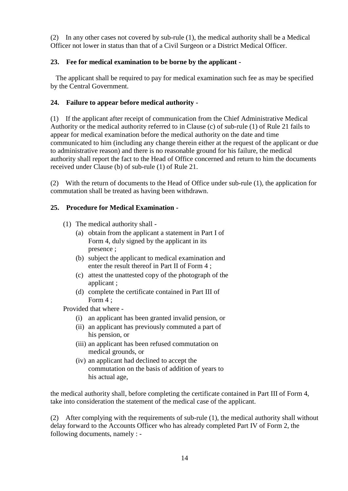(2) In any other cases not covered by sub-rule (1), the medical authority shall be a Medical Officer not lower in status than that of a Civil Surgeon or a District Medical Officer.

# **23. Fee for medical examination to be borne by the applicant -**

The applicant shall be required to pay for medical examination such fee as may be specified by the Central Government.

# **24. Failure to appear before medical authority -**

(1) If the applicant after receipt of communication from the Chief Administrative Medical Authority or the medical authority referred to in Clause (c) of sub-rule (1) of Rule 21 fails to appear for medical examination before the medical authority on the date and time communicated to him (including any change therein either at the request of the applicant or due to administrative reason) and there is no reasonable ground for his failure, the medical authority shall report the fact to the Head of Office concerned and return to him the documents received under Clause (b) of sub-rule (1) of Rule 21.

(2) With the return of documents to the Head of Office under sub-rule (1), the application for commutation shall be treated as having been withdrawn.

# **25. Procedure for Medical Examination -**

- (1) The medical authority shall
	- (a) obtain from the applicant a statement in Part I of Form 4, duly signed by the applicant in its presence ;
	- (b) subject the applicant to medical examination and enter the result thereof in Part II of Form 4 ;
	- (c) attest the unattested copy of the photograph of the applicant ;
	- (d) complete the certificate contained in Part III of Form 4 ;

Provided that where -

- (i) an applicant has been granted invalid pension, or
- (ii) an applicant has previously commuted a part of his pension, or
- (iii) an applicant has been refused commutation on medical grounds, or
- (iv) an applicant had declined to accept the commutation on the basis of addition of years to his actual age,

the medical authority shall, before completing the certificate contained in Part III of Form 4, take into consideration the statement of the medical case of the applicant.

(2) After complying with the requirements of sub-rule (1), the medical authority shall without delay forward to the Accounts Officer who has already completed Part IV of Form 2, the following documents, namely : -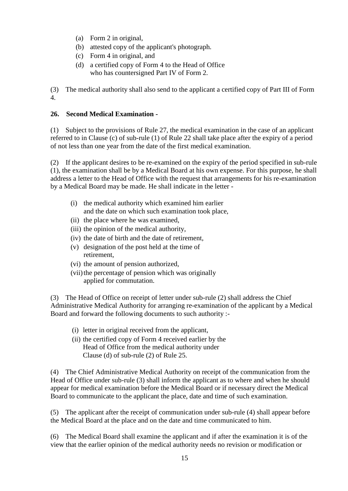- (a) Form 2 in original,
- (b) attested copy of the applicant's photograph.
- (c) Form 4 in original, and
- (d) a certified copy of Form 4 to the Head of Office who has countersigned Part IV of Form 2.

(3) The medical authority shall also send to the applicant a certified copy of Part III of Form 4.

# **26. Second Medical Examination -**

(1) Subject to the provisions of Rule 27, the medical examination in the case of an applicant referred to in Clause (c) of sub-rule (1) of Rule 22 shall take place after the expiry of a period of not less than one year from the date of the first medical examination.

(2) If the applicant desires to be re-examined on the expiry of the period specified in sub-rule (1), the examination shall be by a Medical Board at his own expense. For this purpose, he shall address a letter to the Head of Office with the request that arrangements for his re-examination by a Medical Board may be made. He shall indicate in the letter -

- (i) the medical authority which examined him earlier and the date on which such examination took place,
- (ii) the place where he was examined,
- (iii) the opinion of the medical authority,
- (iv) the date of birth and the date of retirement,
- (v) designation of the post held at the time of retirement,
- (vi) the amount of pension authorized,
- (vii) the percentage of pension which was originally applied for commutation.

(3) The Head of Office on receipt of letter under sub-rule (2) shall address the Chief Administrative Medical Authority for arranging re-examination of the applicant by a Medical Board and forward the following documents to such authority :-

- (i) letter in original received from the applicant,
- (ii) the certified copy of Form 4 received earlier by the Head of Office from the medical authority under Clause (d) of sub-rule (2) of Rule 25.

(4) The Chief Administrative Medical Authority on receipt of the communication from the Head of Office under sub-rule (3) shall inform the applicant as to where and when he should appear for medical examination before the Medical Board or if necessary direct the Medical Board to communicate to the applicant the place, date and time of such examination.

(5) The applicant after the receipt of communication under sub-rule (4) shall appear before the Medical Board at the place and on the date and time communicated to him.

(6) The Medical Board shall examine the applicant and if after the examination it is of the view that the earlier opinion of the medical authority needs no revision or modification or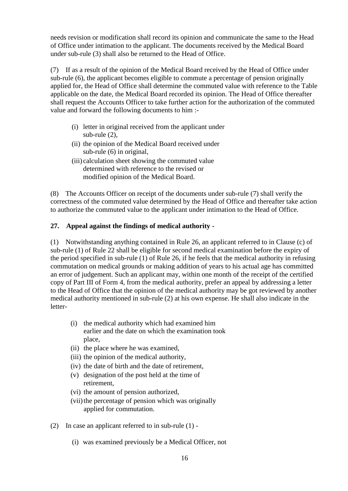needs revision or modification shall record its opinion and communicate the same to the Head of Office under intimation to the applicant. The documents received by the Medical Board under sub-rule (3) shall also be returned to the Head of Office.

(7) If as a result of the opinion of the Medical Board received by the Head of Office under sub-rule (6), the applicant becomes eligible to commute a percentage of pension originally applied for, the Head of Office shall determine the commuted value with reference to the Table applicable on the date, the Medical Board recorded its opinion. The Head of Office thereafter shall request the Accounts Officer to take further action for the authorization of the commuted value and forward the following documents to him :-

- (i) letter in original received from the applicant under sub-rule (2),
- (ii) the opinion of the Medical Board received under sub-rule (6) in original,
- (iii) calculation sheet showing the commuted value determined with reference to the revised or modified opinion of the Medical Board.

(8) The Accounts Officer on receipt of the documents under sub-rule (7) shall verify the correctness of the commuted value determined by the Head of Office and thereafter take action to authorize the commuted value to the applicant under intimation to the Head of Office.

# **27. Appeal against the findings of medical authority -**

(1) Notwithstanding anything contained in Rule 26, an applicant referred to in Clause (c) of sub-rule (1) of Rule 22 shall be eligible for second medical examination before the expiry of the period specified in sub-rule (1) of Rule 26, if he feels that the medical authority in refusing commutation on medical grounds or making addition of years to his actual age has committed an error of judgement. Such an applicant may, within one month of the receipt of the certified copy of Part III of Form 4, from the medical authority, prefer an appeal by addressing a letter to the Head of Office that the opinion of the medical authority may be got reviewed by another medical authority mentioned in sub-rule (2) at his own expense. He shall also indicate in the letter-

- (i) the medical authority which had examined him earlier and the date on which the examination took place,
- (ii) the place where he was examined,
- (iii) the opinion of the medical authority,
- (iv) the date of birth and the date of retirement,
- (v) designation of the post held at the time of retirement,
- (vi) the amount of pension authorized,
- (vii) the percentage of pension which was originally applied for commutation.
- (2) In case an applicant referred to in sub-rule (1)
	- (i) was examined previously be a Medical Officer, not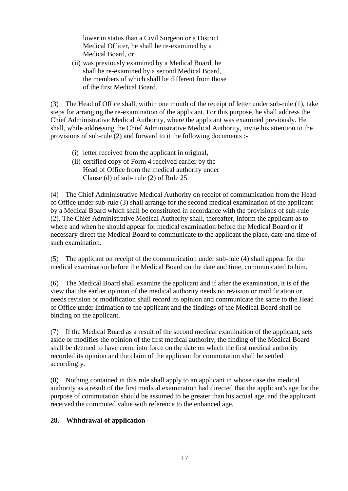lower in status than a Civil Surgeon or a District Medical Officer, he shall be re-examined by a Medical Board, or

(ii) was previously examined by a Medical Board, he shall be re-examined by a second Medical Board, the members of which shall be different from those of the first Medical Board.

(3) The Head of Office shall, within one month of the receipt of letter under sub-rule (1), take steps for arranging the re-examination of the applicant. For this purpose, he shall address the Chief Administrative Medical Authority, where the applicant was examined previously. He shall, while addressing the Chief Administrative Medical Authority, invite his attention to the provisions of sub-rule (2) and forward to it the following documents :-

- (i) letter received from the applicant in original,
- (ii) certified copy of Form 4 received earlier by the Head of Office from the medical authority under Clause (d) of sub- rule (2) of Rule 25.

(4) The Chief Administrative Medical Authority on receipt of communication from the Head of Office under sub-rule (3) shall arrange for the second medical examination of the applicant by a Medical Board which shall be constituted in accordance with the provisions of sub-rule (2). The Chief Administrative Medical Authority shall, thereafter, inform the applicant as to where and when he should appear for medical examination before the Medical Board or if necessary direct the Medical Board to communicate to the applicant the place, date and time of such examination.

(5) The applicant on receipt of the communication under sub-rule (4) shall appear for the medical examination before the Medical Board on the date and time, communicated to him.

(6) The Medical Board shall examine the applicant and if after the examination, it is of the view that the earlier opinion of the medical authority needs no revision or modification or needs revision or modification shall record its opinion and communicate the same to the Head of Office under intimation to the applicant and the findings of the Medical Board shall be binding on the applicant.

(7) If the Medical Board as a result of the second medical examination of the applicant, sets aside or modifies the opinion of the first medical authority, the finding of the Medical Board shall be deemed to have come into force on the date on which the first medical authority recorded its opinion and the claim of the applicant for commutation shall be settled accordingly.

(8) Nothing contained in this rule shall apply to an applicant in whose case the medical authority as a result of the first medical examination had directed that the applicant's age for the purpose of commutation should be assumed to be greater than his actual age, and the applicant received the commuted value with reference to the enhanced age.

# **28. Withdrawal of application -**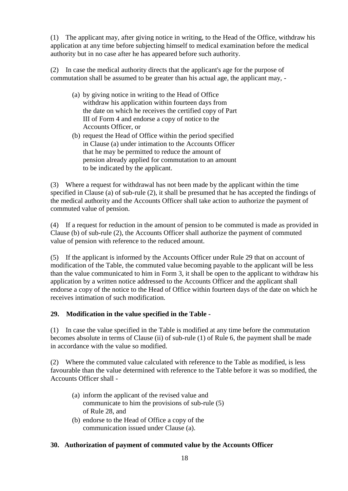(1) The applicant may, after giving notice in writing, to the Head of the Office, withdraw his application at any time before subjecting himself to medical examination before the medical authority but in no case after he has appeared before such authority.

(2) In case the medical authority directs that the applicant's age for the purpose of commutation shall be assumed to be greater than his actual age, the applicant may, -

- (a) by giving notice in writing to the Head of Office withdraw his application within fourteen days from the date on which he receives the certified copy of Part III of Form 4 and endorse a copy of notice to the Accounts Officer, or
- (b) request the Head of Office within the period specified in Clause (a) under intimation to the Accounts Officer that he may be permitted to reduce the amount of pension already applied for commutation to an amount to be indicated by the applicant.

(3) Where a request for withdrawal has not been made by the applicant within the time specified in Clause (a) of sub-rule (2), it shall be presumed that he has accepted the findings of the medical authority and the Accounts Officer shall take action to authorize the payment of commuted value of pension.

(4) If a request for reduction in the amount of pension to be commuted is made as provided in Clause (b) of sub-rule (2), the Accounts Officer shall authorize the payment of commuted value of pension with reference to the reduced amount.

(5) If the applicant is informed by the Accounts Officer under Rule 29 that on account of modification of the Table, the commuted value becoming payable to the applicant will be less than the value communicated to him in Form 3, it shall be open to the applicant to withdraw his application by a written notice addressed to the Accounts Officer and the applicant shall endorse a copy of the notice to the Head of Office within fourteen days of the date on which he receives intimation of such modification.

# **29. Modification in the value specified in the Table -**

(1) In case the value specified in the Table is modified at any time before the commutation becomes absolute in terms of Clause (ii) of sub-rule (1) of Rule 6, the payment shall be made in accordance with the value so modified.

(2) Where the commuted value calculated with reference to the Table as modified, is less favourable than the value determined with reference to the Table before it was so modified, the Accounts Officer shall -

- (a) inform the applicant of the revised value and communicate to him the provisions of sub-rule (5) of Rule 28, and
- (b) endorse to the Head of Office a copy of the communication issued under Clause (a).

# **30. Authorization of payment of commuted value by the Accounts Officer**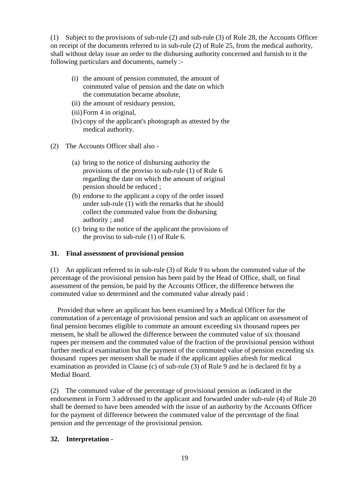(1) Subject to the provisions of sub-rule (2) and sub-rule (3) of Rule 28, the Accounts Officer on receipt of the documents referred to in sub-rule (2) of Rule 25, from the medical authority, shall without delay issue an order to the disbursing authority concerned and furnish to it the following particulars and documents, namely :-

- (i) the amount of pension commuted, the amount of commuted value of pension and the date on which the commutation became absolute,
- (ii) the amount of residuary pension,
- (iii)Form 4 in original,
- (iv) copy of the applicant's photograph as attested by the medical authority.
- (2) The Accounts Officer shall also
	- (a) bring to the notice of disbursing authority the provisions of the proviso to sub-rule (1) of Rule 6 regarding the date on which the amount of original pension should be reduced ;
	- (b) endorse to the applicant a copy of the order issued under sub-rule (1) with the remarks that he should collect the commuted value from the disbursing authority ; and
	- (c) bring to the notice of the applicant the provisions of the proviso to sub-rule (1) of Rule 6.

# **31. Final assessment of provisional pension**

(1) An applicant referred to in sub-rule (3) of Rule 9 to whom the commuted value of the percentage of the provisional pension has been paid by the Head of Office, shall, on final assessment of the pension, be paid by the Accounts Officer, the difference between the commuted value so determined and the commuted value already paid :

 Provided that where an applicant has been examined by a Medical Officer for the commutation of a percentage of provisional pension and such an applicant on assessment of final pension becomes eligible to commute an amount exceeding six thousand rupees per mensem, he shall be allowed the difference between the commuted value of six thousand rupees per mensem and the commuted value of the fraction of the provisional pension without further medical examination but the payment of the commuted value of pension exceeding six thousand rupees per mensem shall be made if the applicant applies afresh for medical examination as provided in Clause (c) of sub-rule (3) of Rule 9 and he is declared fit by a Medial Board.

(2) The commuted value of the percentage of provisional pension as indicated in the endorsement in Form 3 addressed to the applicant and forwarded under sub-rule (4) of Rule 20 shall be deemed to have been amended with the issue of an authority by the Accounts Officer for the payment of difference between the commuted value of the percentage of the final pension and the percentage of the provisional pension.

# **32. Interpretation -**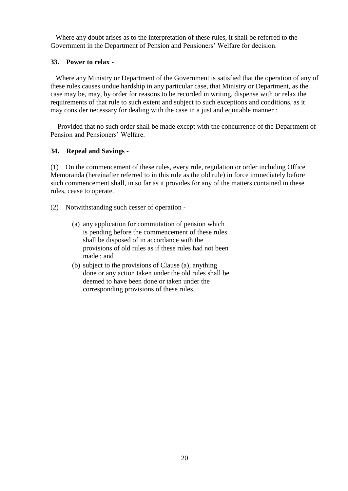Where any doubt arises as to the interpretation of these rules, it shall be referred to the Government in the Department of Pension and Pensioners' Welfare for decision.

## **33. Power to relax -**

Where any Ministry or Department of the Government is satisfied that the operation of any of these rules causes undue hardship in any particular case, that Ministry or Department, as the case may be, may, by order for reasons to be recorded in writing, dispense with or relax the requirements of that rule to such extent and subject to such exceptions and conditions, as it may consider necessary for dealing with the case in a just and equitable manner :

 Provided that no such order shall be made except with the concurrence of the Department of Pension and Pensioners' Welfare.

#### **34. Repeal and Savings -**

(1) On the commencement of these rules, every rule, regulation or order including Office Memoranda (hereinafter referred to in this rule as the old rule) in force immediately before such commencement shall, in so far as it provides for any of the matters contained in these rules, cease to operate.

- (2) Notwithstanding such cesser of operation
	- (a) any application for commutation of pension which is pending before the commencement of these rules shall be disposed of in accordance with the provisions of old rules as if these rules had not been made ; and
	- (b) subject to the provisions of Clause (a), anything done or any action taken under the old rules shall be deemed to have been done or taken under the corresponding provisions of these rules.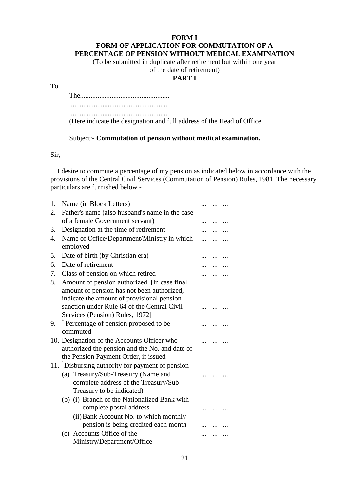#### **FORM I FORM OF APPLICATION FOR COMMUTATION OF A PERCENTAGE OF PENSION WITHOUT MEDICAL EXAMINATION**

(To be submitted in duplicate after retirement but within one year

# of the date of retirement)

# **PART I**

To

The................................................... ......................................................... ......................................................... (Here indicate the designation and full address of the Head of Office

Subject:- **Commutation of pension without medical examination.**

Sir,

 I desire to commute a percentage of my pension as indicated below in accordance with the provisions of the Central Civil Services (Commutation of Pension) Rules, 1981. The necessary particulars are furnished below -

| 1.               | Name (in Block Letters)                                                                                                               |  |  |
|------------------|---------------------------------------------------------------------------------------------------------------------------------------|--|--|
| 2.               | Father's name (also husband's name in the case                                                                                        |  |  |
|                  | of a female Government servant)                                                                                                       |  |  |
| 3.               | Designation at the time of retirement                                                                                                 |  |  |
| $\overline{4}$ . | Name of Office/Department/Ministry in which<br>employed                                                                               |  |  |
| 5.               | Date of birth (by Christian era)                                                                                                      |  |  |
| 6.               | Date of retirement                                                                                                                    |  |  |
| 7.               | Class of pension on which retired                                                                                                     |  |  |
| 8.               | Amount of pension authorized. [In case final<br>amount of pension has not been authorized,                                            |  |  |
|                  | indicate the amount of provisional pension<br>sanction under Rule 64 of the Central Civil<br>Services (Pension) Rules, 1972]          |  |  |
| 9.               | Percentage of pension proposed to be<br>commuted                                                                                      |  |  |
|                  | 10. Designation of the Accounts Officer who<br>authorized the pension and the No. and date of<br>the Pension Payment Order, if issued |  |  |
|                  | 11. <sup>1</sup> Disbursing authority for payment of pension -                                                                        |  |  |
|                  | (a) Treasury/Sub-Treasury (Name and<br>complete address of the Treasury/Sub-<br>Treasury to be indicated)                             |  |  |
|                  | (b) (i) Branch of the Nationalized Bank with<br>complete postal address                                                               |  |  |
|                  | (ii) Bank Account No. to which monthly<br>pension is being credited each month                                                        |  |  |
|                  | (c) Accounts Office of the<br>Ministry/Department/Office                                                                              |  |  |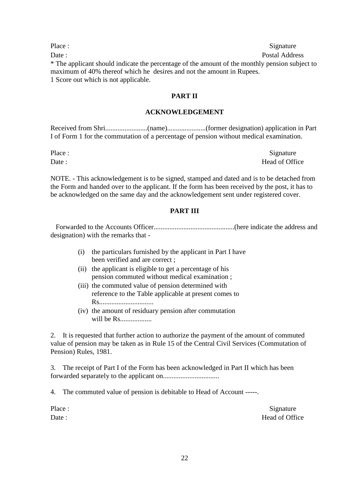Place : Signature : Signature : Signature : Signature : Signature : Signature : Signature : Signature : Signature : Signature : Signature : Signature : Signature : Signature : Signature : Signature : Signature : Signature Date : Postal Address \* The applicant should indicate the percentage of the amount of the monthly pension subject to maximum of 40% thereof which he desires and not the amount in Rupees. 1 Score out which is not applicable.

#### **PART II**

#### **ACKNOWLEDGEMENT**

Received from Shri........................(name)......................(former designation) application in Part I of Form 1 for the commutation of a percentage of pension without medical examination.

Place : Signature Date : Head of Office

NOTE. - This acknowledgement is to be signed, stamped and dated and is to be detached from the Form and handed over to the applicant. If the form has been received by the post, it has to be acknowledged on the same day and the acknowledgement sent under registered cover.

#### **PART III**

Forwarded to the Accounts Officer..............................................(here indicate the address and designation) with the remarks that -

- (i) the particulars furnished by the applicant in Part I have been verified and are correct ;
- (ii) the applicant is eligible to get a percentage of his pension commuted without medical examination ;
- (iii) the commuted value of pension determined with reference to the Table applicable at present comes to Rs...............................
- (iv) the amount of residuary pension after commutation will be Rs..................

2. It is requested that further action to authorize the payment of the amount of commuted value of pension may be taken as in Rule 15 of the Central Civil Services (Commutation of Pension) Rules, 1981.

3. The receipt of Part I of the Form has been acknowledged in Part II which has been forwarded separately to the applicant on................................

4. The commuted value of pension is debitable to Head of Account -----.

Place : Signature Date : Head of Office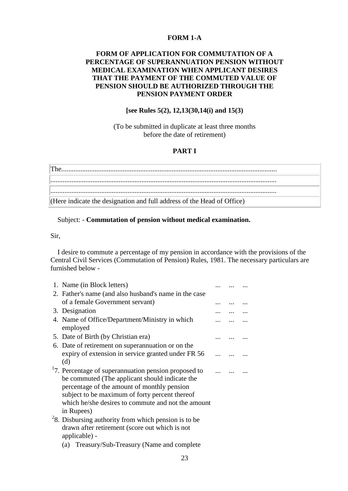#### **FORM 1-A**

## **FORM OF APPLICATION FOR COMMUTATION OF A PERCENTAGE OF SUPERANNUATION PENSION WITHOUT MEDICAL EXAMINATION WHEN APPLICANT DESIRES THAT THE PAYMENT OF THE COMMUTED VALUE OF PENSION SHOULD BE AUTHORIZED THROUGH THE PENSION PAYMENT ORDER**

#### **[see Rules 5(2), 12,13(30,14(i) and 15(3)**

(To be submitted in duplicate at least three months before the date of retirement)

## **PART I**

| The.                                                                   |
|------------------------------------------------------------------------|
|                                                                        |
|                                                                        |
| (Here indicate the designation and full address of the Head of Office) |

#### Subject: - **Commutation of pension without medical examination.**

Sir,

 I desire to commute a percentage of my pension in accordance with the provisions of the Central Civil Services (Commutation of Pension) Rules, 1981. The necessary particulars are furnished below -

| 1. Name (in Block letters)                                                                                                                                                                                                                                                              |  |  |
|-----------------------------------------------------------------------------------------------------------------------------------------------------------------------------------------------------------------------------------------------------------------------------------------|--|--|
| 2. Father's name (and also husband's name in the case                                                                                                                                                                                                                                   |  |  |
| of a female Government servant)                                                                                                                                                                                                                                                         |  |  |
| 3. Designation                                                                                                                                                                                                                                                                          |  |  |
| 4. Name of Office/Department/Ministry in which<br>employed                                                                                                                                                                                                                              |  |  |
| 5. Date of Birth (by Christian era)                                                                                                                                                                                                                                                     |  |  |
| 6. Date of retirement on superannuation or on the                                                                                                                                                                                                                                       |  |  |
| expiry of extension in service granted under FR 56<br>(d)                                                                                                                                                                                                                               |  |  |
| <sup>1</sup> 7. Percentage of superannuation pension proposed to<br>be commuted (The applicant should indicate the<br>percentage of the amount of monthly pension<br>subject to be maximum of forty percent thereof<br>which he/she desires to commute and not the amount<br>in Rupees) |  |  |
| $28$ . Disbursing authority from which pension is to be                                                                                                                                                                                                                                 |  |  |
| drawn after retirement (score out which is not<br>applicable) -                                                                                                                                                                                                                         |  |  |
| (a) Treasury/Sub-Treasury (Name and complete                                                                                                                                                                                                                                            |  |  |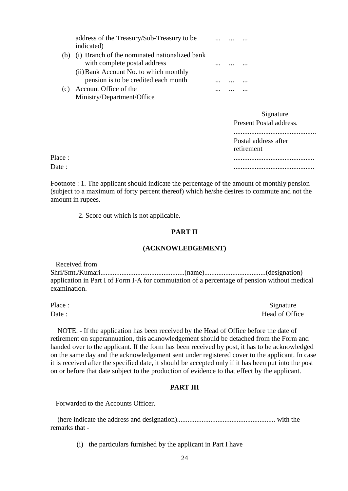|     | address of the Treasury/Sub-Treasury to be    |  |  |
|-----|-----------------------------------------------|--|--|
|     | indicated)                                    |  |  |
| (b) | (i) Branch of the nominated nationalized bank |  |  |
|     | with complete postal address                  |  |  |
|     | (ii) Bank Account No. to which monthly        |  |  |
|     | pension is to be credited each month          |  |  |
| (c) | Account Office of the                         |  |  |
|     | Ministry/Department/Office                    |  |  |

|        | Signature<br>Present Postal address. |
|--------|--------------------------------------|
|        | Postal address after<br>retirement   |
| Place: |                                      |
| Date : |                                      |

Footnote : 1. The applicant should indicate the percentage of the amount of monthly pension (subject to a maximum of forty percent thereof) which he/she desires to commute and not the amount in rupees.

2. Score out which is not applicable.

#### **PART II**

#### **(ACKNOWLEDGEMENT)**

Received from Shri/Smt./Kumari................................................(name)...................................(designation) application in Part I of Form I-A for commutation of a percentage of pension without medical examination.

Place : Signature Date : Head of Office

 NOTE. - If the application has been received by the Head of Office before the date of retirement on superannuation, this acknowledgement should be detached from the Form and handed over to the applicant. If the form has been received by post, it has to be acknowledged on the same day and the acknowledgement sent under registered cover to the applicant. In case it is received after the specified date, it should be accepted only if it has been put into the post on or before that date subject to the production of evidence to that effect by the applicant.

### **PART III**

Forwarded to the Accounts Officer.

 (here indicate the address and designation)........................................................ with the remarks that -

(i) the particulars furnished by the applicant in Part I have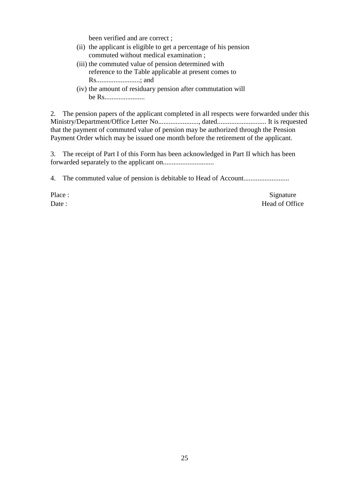been verified and are correct ;

- (ii) the applicant is eligible to get a percentage of his pension commuted without medical examination ;
- (iii) the commuted value of pension determined with reference to the Table applicable at present comes to Rs.........................; and
- (iv) the amount of residuary pension after commutation will be Rs.......................

2. The pension papers of the applicant completed in all respects were forwarded under this Ministry/Department/Office Letter No......................., dated............................ It is requested that the payment of commuted value of pension may be authorized through the Pension Payment Order which may be issued one month before the retirement of the applicant.

3. The receipt of Part I of this Form has been acknowledged in Part II which has been forwarded separately to the applicant on.............................

4. The commuted value of pension is debitable to Head of Account..........................

Place : Signature Date : Head of Office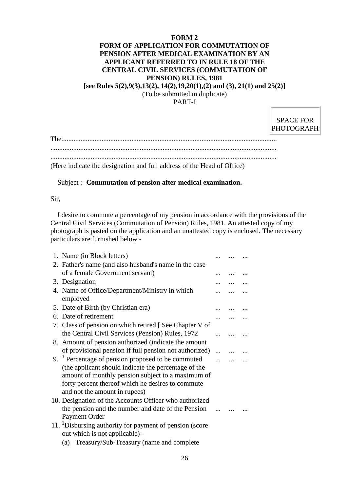#### **FORM 2**

### **FORM OF APPLICATION FOR COMMUTATION OF PENSION AFTER MEDICAL EXAMINATION BY AN APPLICANT REFERRED TO IN RULE 18 OF THE CENTRAL CIVIL SERVICES (COMMUTATION OF PENSION) RULES, 1981**

**[see Rules 5(2),9(3),13(2), 14(2),19,20(1),(2) and (3), 21(1) and 25(2)]**

(To be submitted in duplicate)

PART-I

SPACE FOR PHOTOGRAPH

.................................................................................................................................

(Here indicate the designation and full address of the Head of Office)

## Subject :- **Commutation of pension after medical examination.**

Sir,

 I desire to commute a percentage of my pension in accordance with the provisions of the Central Civil Services (Commutation of Pension) Rules, 1981. An attested copy of my photograph is pasted on the application and an unattested copy is enclosed. The necessary particulars are furnished below -

| 1. Name (in Block letters)                                          |  |  |
|---------------------------------------------------------------------|--|--|
| 2. Father's name (and also husband's name in the case               |  |  |
| of a female Government servant)                                     |  |  |
| 3. Designation                                                      |  |  |
| 4. Name of Office/Department/Ministry in which<br>employed          |  |  |
| 5. Date of Birth (by Christian era)                                 |  |  |
| 6. Date of retirement                                               |  |  |
| 7. Class of pension on which retired [See Chapter V of              |  |  |
| the Central Civil Services (Pension) Rules, 1972                    |  |  |
| 8. Amount of pension authorized (indicate the amount                |  |  |
| of provisional pension if full pension not authorized)              |  |  |
| 9. $1$ Percentage of pension proposed to be commuted                |  |  |
| (the applicant should indicate the percentage of the                |  |  |
| amount of monthly pension subject to a maximum of                   |  |  |
| forty percent thereof which he desires to commute                   |  |  |
| and not the amount in rupees)                                       |  |  |
| 10. Designation of the Accounts Officer who authorized              |  |  |
| the pension and the number and date of the Pension                  |  |  |
| <b>Payment Order</b>                                                |  |  |
| 11. <sup>2</sup> Disbursing authority for payment of pension (score |  |  |
| out which is not applicable)-                                       |  |  |
| (a) Treasury/Sub-Treasury (name and complete                        |  |  |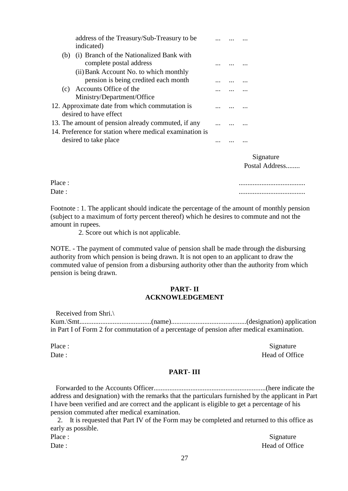|     | address of the Treasury/Sub-Treasury to be<br>indicated)                         |  |        |
|-----|----------------------------------------------------------------------------------|--|--------|
| (b) | (i) Branch of the Nationalized Bank with<br>complete postal address              |  |        |
|     | (ii) Bank Account No. to which monthly<br>pension is being credited each month   |  |        |
|     | (c) Accounts Office of the<br>Ministry/Department/Office                         |  |        |
|     | 12. Approximate date from which commutation is<br>desired to have effect         |  |        |
|     | 13. The amount of pension already commuted, if any                               |  |        |
|     | 14. Preference for station where medical examination is<br>desired to take place |  |        |
|     |                                                                                  |  | Signat |

Postal Address.

Place :

Date : ......................................

Footnote : 1. The applicant should indicate the percentage of the amount of monthly pension (subject to a maximum of forty percent thereof) which he desires to commute and not the amount in rupees.

2. Score out which is not applicable.

NOTE. - The payment of commuted value of pension shall be made through the disbursing authority from which pension is being drawn. It is not open to an applicant to draw the commuted value of pension from a disbursing authority other than the authority from which pension is being drawn.

## **PART- II ACKNOWLEDGEMENT**

Received from Shri.\ Kum.\Smt.........................................(name)...........................................(designation) application in Part I of Form 2 for commutation of a percentage of pension after medical examination.

Place : Signature Date : Head of Office

#### **PART- III**

Forwarded to the Accounts Officer................................................................(here indicate the address and designation) with the remarks that the particulars furnished by the applicant in Part I have been verified and are correct and the applicant is eligible to get a percentage of his pension commuted after medical examination.

 2. It is requested that Part IV of the Form may be completed and returned to this office as early as possible.

Place : Signature : Signature : Signature : Signature : Signature : Signature : Signature : Signature : Signature : Signature : Signature : Signature : Signature : Signature : Signature : Signature : Signature : Signature Date : Head of Office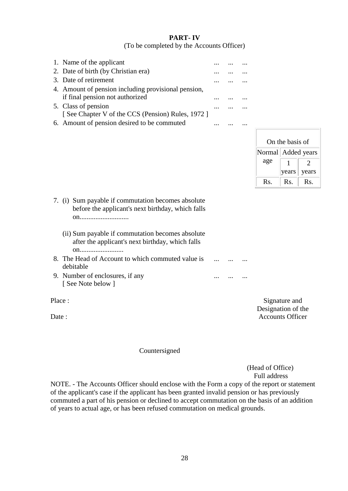# **PART- IV**

(To be completed by the Accounts Officer)

| 1. Name of the applicant                            |  |  |
|-----------------------------------------------------|--|--|
| 2. Date of birth (by Christian era)                 |  |  |
| 3. Date of retirement                               |  |  |
| 4. Amount of pension including provisional pension, |  |  |
| if final pension not authorized                     |  |  |
| 5. Class of pension                                 |  |  |
| [See Chapter V of the CCS (Pension) Rules, 1972 ]   |  |  |
|                                                     |  |  |

|  |  |  |  | 6. Amount of pension desired to be commuted |  |  |  |
|--|--|--|--|---------------------------------------------|--|--|--|
|--|--|--|--|---------------------------------------------|--|--|--|

|                 | On the basis of      |               |  |  |  |
|-----------------|----------------------|---------------|--|--|--|
|                 | Normal   Added years |               |  |  |  |
| age             |                      | 2             |  |  |  |
|                 | years                | years         |  |  |  |
| $\mathbf{R}$ s. | $\mathbf{R}$ s.      | $\mathbf{Rs}$ |  |  |  |

- 7. (i) Sum payable if commutation becomes absolute before the applicant's next birthday, which falls on............................
	- (ii) Sum payable if commutation becomes absolute after the applicant's next birthday, which falls on.........................
- 8. The Head of Account to which commuted value is debitable ... ... ...
- 9. Number of enclosures, if any [ See Note below ]

Place :

Date:

Signature and Designation of the Accounts Officer

#### Countersigned

(Head of Office) Full address

... ... ...

NOTE. - The Accounts Officer should enclose with the Form a copy of the report or statement of the applicant's case if the applicant has been granted invalid pension or has previously commuted a part of his pension or declined to accept commutation on the basis of an addition of years to actual age, or has been refused commutation on medical grounds.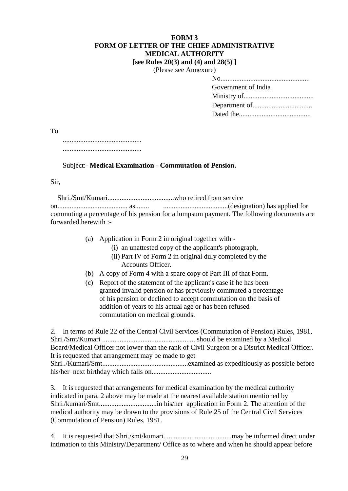#### **FORM 3 FORM OF LETTER OF THE CHIEF ADMINISTRATIVE MEDICAL AUTHORITY [see Rules 20(3) and (4) and 28(5) ]**

(Please see Annexure)

|  | SU SUU TAHIIUAUI |
|--|------------------|
|  |                  |
|  |                  |

| Government of India |
|---------------------|
|                     |
|                     |
|                     |
|                     |

To

 ............................................. .............................................

# Subject:- **Medical Examination - Commutation of Pension.**

Sir,

 Shri./Smt/Kumari......................................who retired from service on........................................ as........ .....................................(designation) has applied for commuting a percentage of his pension for a lumpsum payment. The following documents are forwarded herewith :-

- (a) Application in Form 2 in original together with
	- (i) an unattested copy of the applicant's photograph,
	- (ii) Part IV of Form 2 in original duly completed by the Accounts Officer.
- (b) A copy of Form 4 with a spare copy of Part III of that Form.
- (c) Report of the statement of the applicant's case if he has been granted invalid pension or has previously commuted a percentage of his pension or declined to accept commutation on the basis of addition of years to his actual age or has been refused commutation on medical grounds.

2. In terms of Rule 22 of the Central Civil Services (Commutation of Pension) Rules, 1981, Shri./Smt/Kumari ..................................................... should be examined by a Medical Board/Medical Officer not lower than the rank of Civil Surgeon or a District Medical Officer. It is requested that arrangement may be made to get Shri../Kumari/Smt.................................................examined as expeditiously as possible before his/her next birthday which falls on..................................

3. It is requested that arrangements for medical examination by the medical authority indicated in para. 2 above may be made at the nearest available station mentioned by Shri./kumari/Smt.................................in his/her application in Form 2. The attention of the medical authority may be drawn to the provisions of Rule 25 of the Central Civil Services (Commutation of Pension) Rules, 1981.

4. It is requested that Shri./smt/kumari.......................................may be informed direct under intimation to this Ministry/Department/ Office as to where and when he should appear before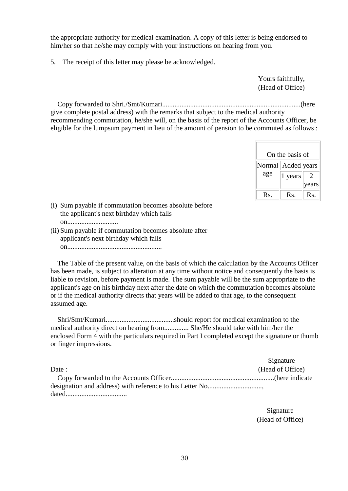the appropriate authority for medical examination. A copy of this letter is being endorsed to him/her so that he/she may comply with your instructions on hearing from you.

5. The receipt of this letter may please be acknowledged.

Yours faithfully, (Head of Office)

 Copy forwarded to Shri./Smt/Kumari...............................................................................(here give complete postal address) with the remarks that subject to the medical authority recommending commutation, he/she will, on the basis of the report of the Accounts Officer, be

eligible for the lumpsum payment in lieu of the amount of pension to be commuted as follows :

|                 | On the basis of |                             |
|-----------------|-----------------|-----------------------------|
| Normal          | Added years     |                             |
| age             | 1 years         | $\mathcal{D}_{\mathcal{L}}$ |
|                 |                 | ears                        |
| $\mathbf{R}$ s. | Rs.             | Rs.                         |

- (i) Sum payable if commutation becomes absolute before the applicant's next birthday which falls on.............................
- (ii) Sum payable if commutation becomes absolute after applicant's next birthday which falls on......................................................

 The Table of the present value, on the basis of which the calculation by the Accounts Officer has been made, is subject to alteration at any time without notice and consequently the basis is liable to revision, before payment is made. The sum payable will be the sum appropriate to the applicant's age on his birthday next after the date on which the commutation becomes absolute or if the medical authority directs that years will be added to that age, to the consequent assumed age.

 Shri/Smt/Kumari.......................................should report for medical examination to the medical authority direct on hearing from.............. She/He should take with him/her the enclosed Form 4 with the particulars required in Part I completed except the signature or thumb or finger impressions.

|        | Signature        |
|--------|------------------|
| Date : | (Head of Office) |
|        |                  |
|        |                  |
|        |                  |

Signature (Head of Office)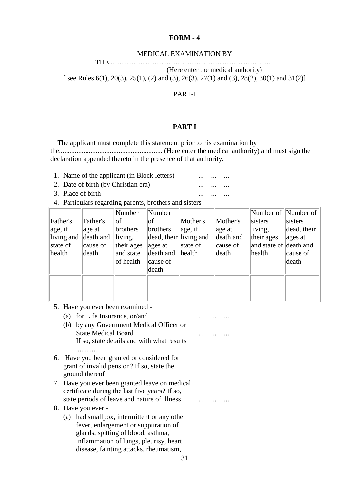#### **FORM - 4**

#### MEDICAL EXAMINATION BY

THE..............................................................................................

(Here enter the medical authority)

[ see Rules 6(1), 20(3), 25(1), (2) and (3), 26(3), 27(1) and (3), 28(2), 30(1) and 31(2)]

#### PART-I

### **PART I**

 The applicant must complete this statement prior to his examination by the........................................................... (Here enter the medical authority) and must sign the declaration appended thereto in the presence of that authority.

- 1. Name of the applicant (in Block letters) ...
- 2. Date of birth (by Christian era) ... ... ... ...
- 3. Place of birth ... ... ...
- 4. Particulars regarding parents, brothers and sisters -

|            |           | Number     | Number                 |          |           |                        | Number of  Number of |
|------------|-----------|------------|------------------------|----------|-----------|------------------------|----------------------|
| Father's   | Father's  | of         | οf                     | Mother's | Mother's  | sisters                | sisters              |
| age, if    | age at    | brothers   | brothers               | age, if  | age at    | living,                | dead, their          |
| living and | death and | living,    | dead, their living and |          | death and | their ages             | ages at              |
| state of   | cause of  | their ages | ages at                | state of | cause of  | and state of death and |                      |
| health     | death     | and state  | death and              | health   | death     | health                 | cause of             |
|            |           | of health  | cause of               |          |           |                        | death                |
|            |           |            | death                  |          |           |                        |                      |
|            |           |            |                        |          |           |                        |                      |
|            |           |            |                        |          |           |                        |                      |
|            |           |            |                        |          |           |                        |                      |

... ... ...

- 5. Have you ever been examined
	- (a) for Life Insurance, or/and ... ...
	- (b) by any Government Medical Officer or State Medical Board If so, state details and with what results .............
- 6. Have you been granted or considered for grant of invalid pension? If so, state the ground thereof
- 7. Have you ever been granted leave on medical certificate during the last five years? If so, state periods of leave and nature of illness ... ... ... ...
- 8. Have you ever
	- (a) had smallpox, intermittent or any other fever, enlargement or suppuration of glands, spitting of blood, asthma, inflammation of lungs, pleurisy, heart disease, fainting attacks, rheumatism,

31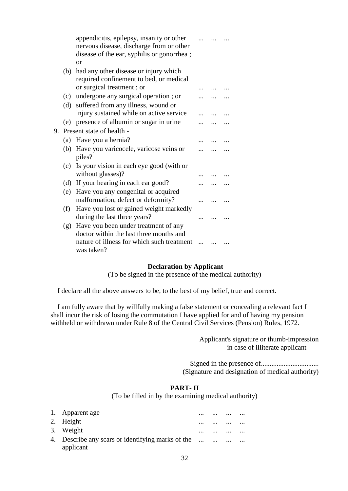|    |     | appendicitis, epilepsy, insanity or other<br>nervous disease, discharge from or other |  |  |
|----|-----|---------------------------------------------------------------------------------------|--|--|
|    |     | disease of the ear, syphilis or gonorrhea;                                            |  |  |
|    |     | or                                                                                    |  |  |
|    | (b) | had any other disease or injury which                                                 |  |  |
|    |     | required confinement to bed, or medical                                               |  |  |
|    |     | or surgical treatment; or                                                             |  |  |
|    | (c) | undergone any surgical operation; or                                                  |  |  |
|    | (d) | suffered from any illness, wound or                                                   |  |  |
|    |     | injury sustained while on active service                                              |  |  |
|    | (e) | presence of albumin or sugar in urine                                                 |  |  |
| 9. |     | Present state of health -                                                             |  |  |
|    | (a) | Have you a hernia?                                                                    |  |  |
|    | (b) | Have you varicocele, varicose veins or                                                |  |  |
|    |     | piles?                                                                                |  |  |
|    | (c) | Is your vision in each eye good (with or                                              |  |  |
|    |     | without glasses)?                                                                     |  |  |
|    | (d) | If your hearing in each ear good?                                                     |  |  |
|    | (e) | Have you any congenital or acquired                                                   |  |  |
|    |     | malformation, defect or deformity?                                                    |  |  |
|    | (f) | Have you lost or gained weight markedly                                               |  |  |
|    |     | during the last three years?                                                          |  |  |
|    | (g) | Have you been under treatment of any                                                  |  |  |
|    |     | doctor within the last three months and                                               |  |  |
|    |     | nature of illness for which such treatment                                            |  |  |
|    |     | was taken?                                                                            |  |  |

#### **Declaration by Applicant**

(To be signed in the presence of the medical authority)

I declare all the above answers to be, to the best of my belief, true and correct.

 I am fully aware that by willfully making a false statement or concealing a relevant fact I shall incur the risk of losing the commutation I have applied for and of having my pension withheld or withdrawn under Rule 8 of the Central Civil Services (Pension) Rules, 1972.

> Applicant's signature or thumb-impression in case of illiterate applicant

Signed in the presence of................................. (Signature and designation of medical authority)

#### **PART- II**

(To be filled in by the examining medical authority)

| 1. Apparent age                                   | $\cdots$ | $\cdots$ | $\cdots$ | $\cdots$ |
|---------------------------------------------------|----------|----------|----------|----------|
| 2. Height                                         | $\cdots$ |          | $\cdots$ | $\cdots$ |
| 3. Weight                                         | $\cdots$ |          | $\cdots$ |          |
| 4. Describe any scars or identifying marks of the |          | $\cdots$ | $\cdots$ | $\cdots$ |
| applicant                                         |          |          |          |          |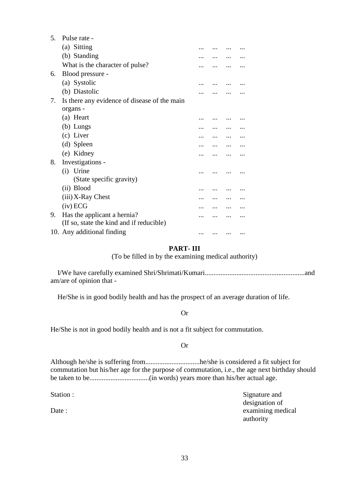| 5. | Pulse rate -                                 |  |  |
|----|----------------------------------------------|--|--|
|    | (a) Sitting                                  |  |  |
|    | (b) Standing                                 |  |  |
|    | What is the character of pulse?              |  |  |
| 6. | Blood pressure -                             |  |  |
|    | (a) Systolic                                 |  |  |
|    | (b) Diastolic                                |  |  |
| 7. | Is there any evidence of disease of the main |  |  |
|    | organs -                                     |  |  |
|    | (a) Heart                                    |  |  |
|    | $(b)$ Lungs                                  |  |  |
|    | (c) Liver                                    |  |  |
|    | (d) Spleen                                   |  |  |
|    | (e) Kidney                                   |  |  |
| 8. | Investigations -                             |  |  |
|    | (i) Urine                                    |  |  |
|    | (State specific gravity)                     |  |  |
|    | (ii) Blood                                   |  |  |
|    | $(iii)$ X-Ray Chest                          |  |  |
|    | $(iv)$ ECG                                   |  |  |
| 9. | Has the applicant a hernia?                  |  |  |
|    | (If so, state the kind and if reducible)     |  |  |
|    | 10. Any additional finding                   |  |  |

#### **PART- III**

(To be filled in by the examining medical authority)

 I/We have carefully examined Shri/Shrimati/Kumari.........................................................and am/are of opinion that -

He/She is in good bodily health and has the prospect of an average duration of life.

#### Or

He/She is not in good bodily health and is not a fit subject for commutation.

#### Or

Although he/she is suffering from...............................he/she is considered a fit subject for commutation but his/her age for the purpose of commutation, i.e., the age next birthday should be taken to be..................................(in words) years more than his/her actual age.

Station :

Date :

Signature and designation of examining medical authority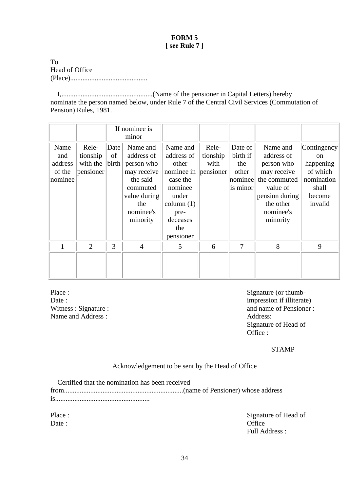## **FORM 5 [ see Rule 7 ]**

To Head of Office (Place)............................................

 I,....................................................(Name of the pensioner in Capital Letters) hereby nominate the person named below, under Rule 7 of the Central Civil Services (Commutation of Pension) Rules, 1981.

|                                             |                                            |                     | If nominee is<br>minor                                                                                                      |                                                                                                                                       |                                        |                                                            |                                                                                                                                         |                                                                                                   |
|---------------------------------------------|--------------------------------------------|---------------------|-----------------------------------------------------------------------------------------------------------------------------|---------------------------------------------------------------------------------------------------------------------------------------|----------------------------------------|------------------------------------------------------------|-----------------------------------------------------------------------------------------------------------------------------------------|---------------------------------------------------------------------------------------------------|
| Name<br>and<br>address<br>of the<br>nominee | Rele-<br>tionship<br>with the<br>pensioner | Date<br>of<br>birth | Name and<br>address of<br>person who<br>may receive<br>the said<br>commuted<br>value during<br>the<br>nominee's<br>minority | Name and<br>address of<br>other<br>nominee in<br>case the<br>nominee<br>under<br>column $(1)$<br>pre-<br>deceases<br>the<br>pensioner | Rele-<br>tionship<br>with<br>pensioner | Date of<br>birth if<br>the<br>other<br>nominee<br>is minor | Name and<br>address of<br>person who<br>may receive<br>the commuted<br>value of<br>pension during<br>the other<br>nominee's<br>minority | Contingency<br><sub>on</sub><br>happening<br>of which<br>nomination<br>shall<br>become<br>invalid |
| 1                                           | $\overline{2}$                             | 3                   | $\overline{4}$                                                                                                              | 5                                                                                                                                     | 6                                      | 7                                                          | 8                                                                                                                                       | 9                                                                                                 |

Place : Date : Witness : Signature : Name and Address :

Signature (or thumbimpression if illiterate) and name of Pensioner : Address: Signature of Head of Office :

STAMP

Acknowledgement to be sent by the Head of Office

 Certified that the nomination has been received from....................................................................(name of Pensioner) whose address is......................................................

Place : Date :

Signature of Head of **Office** Full Address :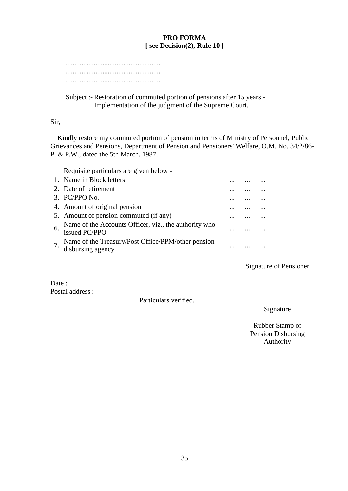## **PRO FORMA [ see Decision(2), Rule 10 ]**

Subject :- Restoration of commuted portion of pensions after 15 years - Implementation of the judgment of the Supreme Court.

## Sir,

 Kindly restore my commuted portion of pension in terms of Ministry of Personnel, Public Grievances and Pensions, Department of Pension and Pensioners' Welfare, O.M. No. 34/2/86- P. & P.W., dated the 5th March, 1987.

Requisite particulars are given below -

| 1. Name in Block letters                                                    |  |  |
|-----------------------------------------------------------------------------|--|--|
| 2. Date of retirement                                                       |  |  |
| $3.$ PC/PPO No.                                                             |  |  |
| 4. Amount of original pension                                               |  |  |
| 5. Amount of pension commuted (if any)                                      |  |  |
| Name of the Accounts Officer, viz., the authority who<br>$6.$ issued PC/PPO |  |  |
| Name of the Treasury/Post Office/PPM/other pension<br>disbursing agency     |  |  |

# Signature of Pensioner

Date: Postal address :

Particulars verified.

Signature

Rubber Stamp of Pension Disbursing Authority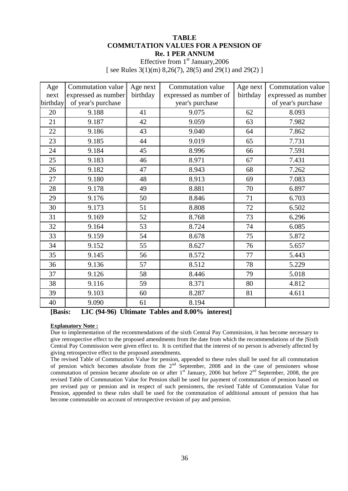#### **TABLE COMMUTATION VALUES FOR A PENSION OF Re. 1 PER ANNUM**

Effective from  $1<sup>st</sup>$  January, 2006 [ see Rules  $3(1)(m)$  8,26(7), 28(5) and 29(1) and 29(2) ]

| Age      | Commutation value   | Age next | Commutation value      | Age next | Commutation value   |
|----------|---------------------|----------|------------------------|----------|---------------------|
| next     | expressed as number | birthday | expressed as number of | birthday | expressed as number |
| birthday | of year's purchase  |          | year's purchase        |          | of year's purchase  |
| 20       | 9.188               | 41       | 9.075                  | 62       | 8.093               |
| 21       | 9.187               | 42       | 9.059                  | 63       | 7.982               |
| 22       | 9.186               | 43       | 9.040                  | 64       | 7.862               |
| 23       | 9.185               | 44       | 9.019                  | 65       | 7.731               |
| 24       | 9.184               | 45       | 8.996                  | 66       | 7.591               |
| 25       | 9.183               | 46       | 8.971                  | 67       | 7.431               |
| 26       | 9.182               | 47       | 8.943                  | 68       | 7.262               |
| 27       | 9.180               | 48       | 8.913                  | 69       | 7.083               |
| 28       | 9.178               | 49       | 8.881                  | 70       | 6.897               |
| 29       | 9.176               | 50       | 8.846                  | 71       | 6.703               |
| 30       | 9.173               | 51       | 8.808                  | 72       | 6.502               |
| 31       | 9.169               | 52       | 8.768                  | 73       | 6.296               |
| 32       | 9.164               | 53       | 8.724                  | 74       | 6.085               |
| 33       | 9.159               | 54       | 8.678                  | 75       | 5.872               |
| 34       | 9.152               | 55       | 8.627                  | 76       | 5.657               |
| 35       | 9.145               | 56       | 8.572                  | 77       | 5.443               |
| 36       | 9.136               | 57       | 8.512                  | 78       | 5.229               |
| 37       | 9.126               | 58       | 8.446                  | 79       | 5.018               |
| 38       | 9.116               | 59       | 8.371                  | 80       | 4.812               |
| 39       | 9.103               | 60       | 8.287                  | 81       | 4.611               |
| 40       | 9.090               | 61       | 8.194                  |          |                     |

**[Basis: LIC (94-96) Ultimate Tables and 8.00% interest]**

#### **Explanatory Note :**

Due to implementation of the recommendations of the sixth Central Pay Commission, it has become necessary to give retrospective effect to the proposed amendments from the date from which the recommendations of the |Sixth Central Pay Commission were given effect to. It is certified that the interest of no person is adversely affected by giving retrospective effect to the proposed amendments.

The revised Table of Commutation Value for pension, appended to these rules shall be used for all commutation of pension which becomes absolute from the  $2<sup>nd</sup>$  September, 2008 and in the case of pensioners whose commutation of pension became absolute on or after  $1<sup>st</sup>$  January, 2006 but before  $2<sup>nd</sup>$  September, 2008, the pre revised Table of Commutation Value for Pension shall be used for payment of commutation of pension based on pre revised pay or pension and in respect of such pensioners, the revised Table of Commutation Value for Pension, appended to these rules shall be used for the commutation of additional amount of pension that has become commutable on account of retrospective revision of pay and pension.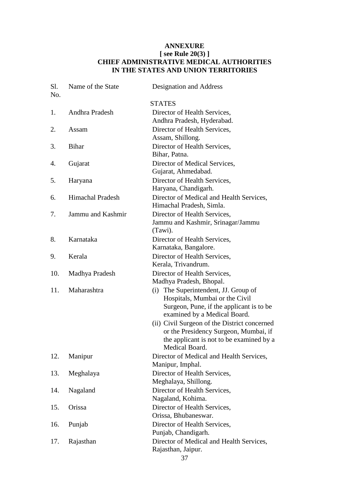# **ANNEXURE [ see Rule 20(3) ] CHIEF ADMINISTRATIVE MEDICAL AUTHORITIES IN THE STATES AND UNION TERRITORIES**

| Sl.<br>No. | Name of the State       | Designation and Address                                    |
|------------|-------------------------|------------------------------------------------------------|
|            |                         | <b>STATES</b>                                              |
| 1.         | Andhra Pradesh          | Director of Health Services,                               |
|            |                         | Andhra Pradesh, Hyderabad.                                 |
| 2.         | Assam                   | Director of Health Services,                               |
|            |                         | Assam, Shillong.                                           |
| 3.         | <b>Bihar</b>            | Director of Health Services,                               |
|            |                         | Bihar, Patna.                                              |
| 4.         | Gujarat                 | Director of Medical Services,                              |
|            |                         | Gujarat, Ahmedabad.                                        |
| 5.         | Haryana                 | Director of Health Services,                               |
|            |                         | Haryana, Chandigarh.                                       |
| 6.         | <b>Himachal Pradesh</b> | Director of Medical and Health Services,                   |
|            |                         | Himachal Pradesh, Simla.                                   |
| 7.         | Jammu and Kashmir       | Director of Health Services,                               |
|            |                         | Jammu and Kashmir, Srinagar/Jammu                          |
|            |                         | (Tawi).                                                    |
| 8.         | Karnataka               | Director of Health Services,                               |
|            |                         | Karnataka, Bangalore.                                      |
| 9.         | Kerala                  | Director of Health Services,                               |
|            |                         | Kerala, Trivandrum.                                        |
| 10.        | Madhya Pradesh          | Director of Health Services,                               |
|            |                         | Madhya Pradesh, Bhopal.                                    |
| 11.        | Maharashtra             | (i) The Superintendent, JJ. Group of                       |
|            |                         | Hospitals, Mumbai or the Civil                             |
|            |                         | Surgeon, Pune, if the applicant is to be                   |
|            |                         | examined by a Medical Board.                               |
|            |                         | (ii) Civil Surgeon of the District concerned               |
|            |                         | or the Presidency Surgeon, Mumbai, if                      |
|            |                         | the applicant is not to be examined by a<br>Medical Board. |
| 12.        |                         | Director of Medical and Health Services,                   |
|            | Manipur                 | Manipur, Imphal.                                           |
| 13.        |                         | Director of Health Services,                               |
|            | Meghalaya               | Meghalaya, Shillong.                                       |
| 14.        | Nagaland                | Director of Health Services,                               |
|            |                         | Nagaland, Kohima.                                          |
| 15.        | Orissa                  | Director of Health Services,                               |
|            |                         | Orissa, Bhubaneswar.                                       |
| 16.        | Punjab                  | Director of Health Services,                               |
|            |                         | Punjab, Chandigarh.                                        |
| 17.        | Rajasthan               | Director of Medical and Health Services,                   |
|            |                         | Rajasthan, Jaipur.                                         |
|            |                         |                                                            |